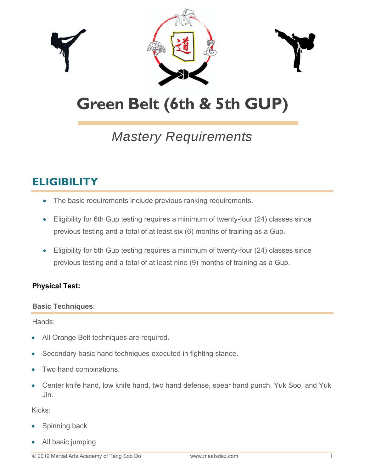

# **Green Belt (6th & 5th GUP)**

## *Mastery Requirements*

### **ELIGIBILITY**

- The basic requirements include previous ranking requirements.
- Eligibility for 6th Gup testing requires a minimum of twenty-four (24) classes since previous testing and a total of at least six (6) months of training as a Gup.
- Eligibility for 5th Gup testing requires a minimum of twenty-four (24) classes since previous testing and a total of at least nine (9) months of training as a Gup.

#### **Physical Test:**

#### **Basic Techniques**:

Hands:

- All Orange Belt techniques are required.
- Secondary basic hand techniques executed in fighting stance.
- Two hand combinations.
- Center knife hand, low knife hand, two hand defense, spear hand punch, Yuk Soo, and Yuk Jin.

Kicks:

- Spinning back
- All basic jumping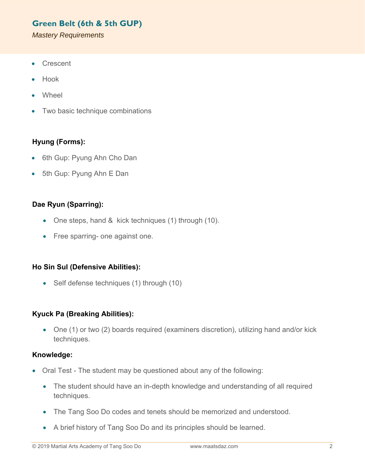#### **Green Belt (6th & 5th GUP)**

*Mastery Requirements* 

- Crescent
- Hook
- **Wheel**
- Two basic technique combinations

#### **Hyung (Forms):**

- 6th Gup: Pyung Ahn Cho Dan
- 5th Gup: Pyung Ahn E Dan

#### **Dae Ryun (Sparring):**

- One steps, hand & kick techniques (1) through (10).
- Free sparring- one against one.

#### **Ho Sin Sul (Defensive Abilities):**

• Self defense techniques (1) through (10)

#### **Kyuck Pa (Breaking Abilities):**

 One (1) or two (2) boards required (examiners discretion), utilizing hand and/or kick techniques.

#### **Knowledge:**

- Oral Test The student may be questioned about any of the following:
	- The student should have an in-depth knowledge and understanding of all required techniques.
	- The Tang Soo Do codes and tenets should be memorized and understood.
	- A brief history of Tang Soo Do and its principles should be learned.